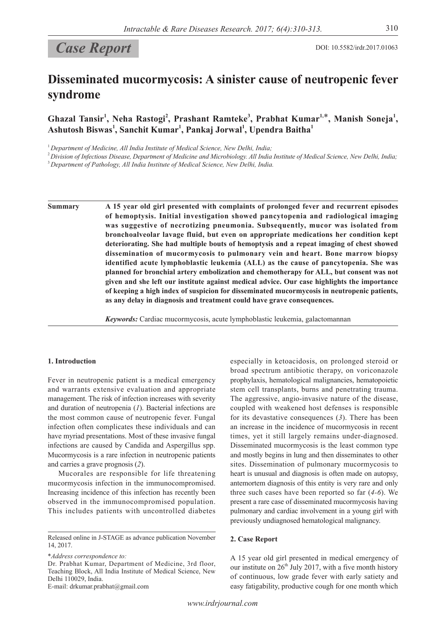# **Case Report** DOI: 10.5582/irdr.2017.01063

# **Disseminated mucormycosis: A sinister cause of neutropenic fever syndrome**

Ghazal Tansir<sup>1</sup>, Neha Rastogi<sup>2</sup>, Prashant Ramteke<sup>3</sup>, Prabhat Kumar<sup>1,\*</sup>, Manish Soneja<sup>1</sup>, **Ashutosh Biswas<sup>1</sup> , Sanchit Kumar1 , Pankaj Jorwal1 , Upendra Baitha<sup>1</sup>**

<sup>1</sup>*Department of Medicine, All India Institute of Medical Science, New Delhi, India;*

<sup>2</sup>*Division of Infectious Disease, Department of Medicine and Microbiology. All India Institute of Medical Science, New Delhi, India;*

<sup>3</sup>*Department of Pathology, All India Institute of Medical Science, New Delhi, India.*

**Summary A 15 year old girl presented with complaints of prolonged fever and recurrent episodes of hemoptysis. Initial investigation showed pancytopenia and radiological imaging was suggestive of necrotizing pneumonia. Subsequently, mucor was isolated from bronchoalveolar lavage fluid, but even on appropriate medications her condition kept deteriorating. She had multiple bouts of hemoptysis and a repeat imaging of chest showed dissemination of mucormycosis to pulmonary vein and heart. Bone marrow biopsy identified acute lymphoblastic leukemia (ALL) as the cause of pancytopenia. She was planned for bronchial artery embolization and chemotherapy for ALL, but consent was not given and she left our institute against medical advice. Our case highlights the importance of keeping a high index of suspicion for disseminated mucormycosis in neutropenic patients, as any delay in diagnosis and treatment could have grave consequences.**

*Keywords:* Cardiac mucormycosis, acute lymphoblastic leukemia, galactomannan

### **1. Introduction**

Fever in neutropenic patient is a medical emergency and warrants extensive evaluation and appropriate management. The risk of infection increases with severity and duration of neutropenia (*1*). Bacterial infections are the most common cause of neutropenic fever. Fungal infection often complicates these individuals and can have myriad presentations. Most of these invasive fungal infections are caused by Candida and Aspergillus spp. Mucormycosis is a rare infection in neutropenic patients and carries a grave prognosis (*2*).

Mucorales are responsible for life threatening mucormycosis infection in the immunocompromised. Increasing incidence of this infection has recently been observed in the immunocompromised population. This includes patients with uncontrolled diabetes

\**Address correspondence to:*

Dr. Prabhat Kumar, Department of Medicine, 3rd floor, Teaching Block, All India Institute of Medical Science, New Delhi 110029, India. E-mail: drkumar.prabhat@gmail.com

especially in ketoacidosis, on prolonged steroid or broad spectrum antibiotic therapy, on voriconazole prophylaxis, hematological malignancies, hematopoietic stem cell transplants, burns and penetrating trauma. The aggressive, angio-invasive nature of the disease, coupled with weakened host defenses is responsible for its devastative consequences (*3*). There has been an increase in the incidence of mucormycosis in recent times, yet it still largely remains under-diagnosed. Disseminated mucormycosis is the least common type and mostly begins in lung and then disseminates to other sites. Dissemination of pulmonary mucormycosis to heart is unusual and diagnosis is often made on autopsy, antemortem diagnosis of this entity is very rare and only three such cases have been reported so far (*4-6*). We present a rare case of disseminated mucormycosis having pulmonary and cardiac involvement in a young girl with previously undiagnosed hematological malignancy.

#### **2. Case Report**

A 15 year old girl presented in medical emergency of our institute on  $26<sup>th</sup>$  July 2017, with a five month history of continuous, low grade fever with early satiety and easy fatigability, productive cough for one month which

Released online in J-STAGE as advance publication November 14, 2017.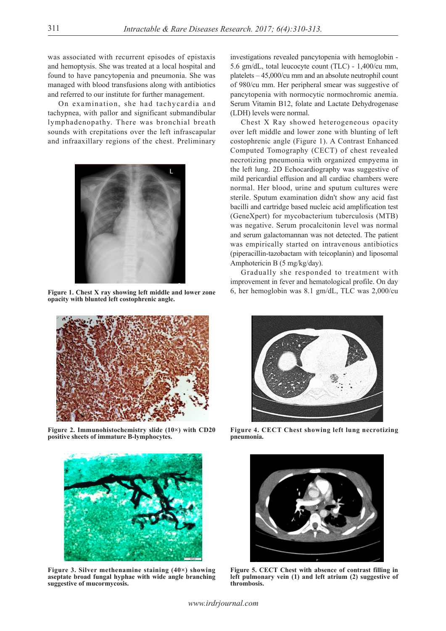was associated with recurrent episodes of epistaxis and hemoptysis. She was treated at a local hospital and found to have pancytopenia and pneumonia. She was managed with blood transfusions along with antibiotics and referred to our institute for further management.

On examination, she had tachycardia and tachypnea, with pallor and significant submandibular lymphadenopathy. There was bronchial breath sounds with crepitations over the left infrascapular and infraaxillary regions of the chest. Preliminary



**Figure 1. Chest X ray showing left middle and lower zone opacity with blunted left costophrenic angle.**



**Figure 2. Immunohistochemistry slide (10×) with CD20 positive sheets of immature B-lymphocytes.**



**Figure 3. Silver methenamine staining (40×) showing aseptate broad fungal hyphae with wide angle branching suggestive of mucormycosis.**

investigations revealed pancytopenia with hemoglobin - 5.6 gm/dL, total leucocyte count (TLC) - 1,400/cu mm, platelets – 45,000/cu mm and an absolute neutrophil count of 980/cu mm. Her peripheral smear was suggestive of pancytopenia with normocytic normochromic anemia. Serum Vitamin B12, folate and Lactate Dehydrogenase (LDH) levels were normal.

Chest X Ray showed heterogeneous opacity over left middle and lower zone with blunting of left costophrenic angle (Figure 1). A Contrast Enhanced Computed Tomography (CECT) of chest revealed necrotizing pneumonia with organized empyema in the left lung. 2D Echocardiography was suggestive of mild pericardial effusion and all cardiac chambers were normal. Her blood, urine and sputum cultures were sterile. Sputum examination didn't show any acid fast bacilli and cartridge based nucleic acid amplification test (GeneXpert) for mycobacterium tuberculosis (MTB) was negative. Serum procalcitonin level was normal and serum galactomannan was not detected. The patient was empirically started on intravenous antibiotics (piperacillin-tazobactam with teicoplanin) and liposomal Amphotericin B (5 mg/kg/day).

Gradually she responded to treatment with improvement in fever and hematological profile. On day 6, her hemoglobin was 8.1 gm/dL, TLC was 2,000/cu



**Figure 4. CECT Chest showing left lung necrotizing pneumonia.**



**Figure 5. CECT Chest with absence of contrast filling in left pulmonary vein (1) and left atrium (2) suggestive of thrombosis.**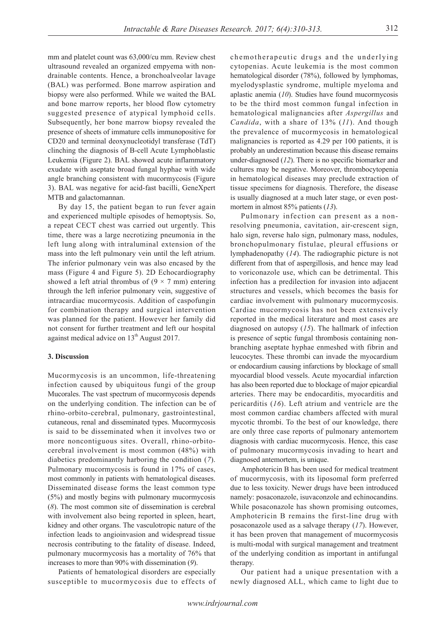mm and platelet count was 63,000/cu mm. Review chest ultrasound revealed an organized empyema with nondrainable contents. Hence, a bronchoalveolar lavage (BAL) was performed. Bone marrow aspiration and biopsy were also performed. While we waited the BAL and bone marrow reports, her blood flow cytometry suggested presence of atypical lymphoid cells. Subsequently, her bone marrow biopsy revealed the presence of sheets of immature cells immunopositive for CD20 and terminal deoxynucleotidyl transferase (TdT) clinching the diagnosis of B-cell Acute Lymphoblastic Leukemia (Figure 2). BAL showed acute inflammatory exudate with aseptate broad fungal hyphae with wide angle branching consistent with mucormycosis (Figure 3). BAL was negative for acid-fast bacilli, GeneXpert MTB and galactomannan.

By day 15, the patient began to run fever again and experienced multiple episodes of hemoptysis. So, a repeat CECT chest was carried out urgently. This time, there was a large necrotizing pneumonia in the left lung along with intraluminal extension of the mass into the left pulmonary vein until the left atrium. The inferior pulmonary vein was also encased by the mass (Figure 4 and Figure 5). 2D Echocardiography showed a left atrial thrombus of  $(9 \times 7 \text{ mm})$  entering through the left inferior pulmonary vein, suggestive of intracardiac mucormycosis. Addition of caspofungin for combination therapy and surgical intervention was planned for the patient. However her family did not consent for further treatment and left our hospital against medical advice on  $13<sup>th</sup>$  August 2017.

### **3. Discussion**

Mucormycosis is an uncommon, life-threatening infection caused by ubiquitous fungi of the group Mucorales. The vast spectrum of mucormycosis depends on the underlying condition. The infection can be of rhino-orbito-cerebral, pulmonary, gastrointestinal, cutaneous, renal and disseminated types. Mucormycosis is said to be disseminated when it involves two or more noncontiguous sites. Overall, rhino-orbitocerebral involvement is most common (48%) with diabetics predominantly harboring the condition (*7*). Pulmonary mucormycosis is found in 17% of cases, most commonly in patients with hematological diseases. Disseminated disease forms the least common type (5%) and mostly begins with pulmonary mucormycosis (*8*). The most common site of dissemination is cerebral with involvement also being reported in spleen, heart, kidney and other organs. The vasculotropic nature of the infection leads to angioinvasion and widespread tissue necrosis contributing to the fatality of disease. Indeed, pulmonary mucormycosis has a mortality of 76% that increases to more than 90% with dissemination (*9*).

Patients of hematological disorders are especially susceptible to mucormycosis due to effects of chemotherapeutic drugs and the underlying cytopenias. Acute leukemia is the most common hematological disorder (78%), followed by lymphomas, myelodysplastic syndrome, multiple myeloma and aplastic anemia (*10*). Studies have found mucormycosis to be the third most common fungal infection in hematological malignancies after *Aspergillus* and *Candida*, with a share of 13% (*11*). And though the prevalence of mucormycosis in hematological malignancies is reported as 4.29 per 100 patients, it is probably an underestimation because this disease remains under-diagnosed (*12*). There is no specific biomarker and cultures may be negative. Moreover, thrombocytopenia in hematological diseases may preclude extraction of tissue specimens for diagnosis. Therefore, the disease is usually diagnosed at a much later stage, or even postmortem in almost 85% patients (*13*).

Pulmonary infection can present as a nonresolving pneumonia, cavitation, air-crescent sign, halo sign, reverse halo sign, pulmonary mass, nodules, bronchopulmonary fistulae, pleural effusions or lymphadenopathy (*14*). The radiographic picture is not different from that of aspergillosis, and hence may lead to voriconazole use, which can be detrimental. This infection has a predilection for invasion into adjacent structures and vessels, which becomes the basis for cardiac involvement with pulmonary mucormycosis. Cardiac mucormycosis has not been extensively reported in the medical literature and most cases are diagnosed on autopsy (*15*). The hallmark of infection is presence of septic fungal thrombosis containing nonbranching aseptate hyphae enmeshed with fibrin and leucocytes. These thrombi can invade the myocardium or endocardium causing infarctions by blockage of small myocardial blood vessels. Acute myocardial infarction has also been reported due to blockage of major epicardial arteries. There may be endocarditis, myocarditis and pericarditis (*16*). Left atrium and ventricle are the most common cardiac chambers affected with mural mycotic thrombi. To the best of our knowledge, there are only three case reports of pulmonary antemortem diagnosis with cardiac mucormycosis. Hence, this case of pulmonary mucormycosis invading to heart and diagnosed antemortem, is unique.

Amphotericin B has been used for medical treatment of mucormycosis, with its liposomal form preferred due to less toxicity. Newer drugs have been introduced namely: posaconazole, isuvaconzole and echinocandins. While posaconazole has shown promising outcomes, Amphotericin B remains the first-line drug with posaconazole used as a salvage therapy (*17*). However, it has been proven that management of mucormycosis is multi-modal with surgical management and treatment of the underlying condition as important in antifungal therapy.

Our patient had a unique presentation with a newly diagnosed ALL, which came to light due to